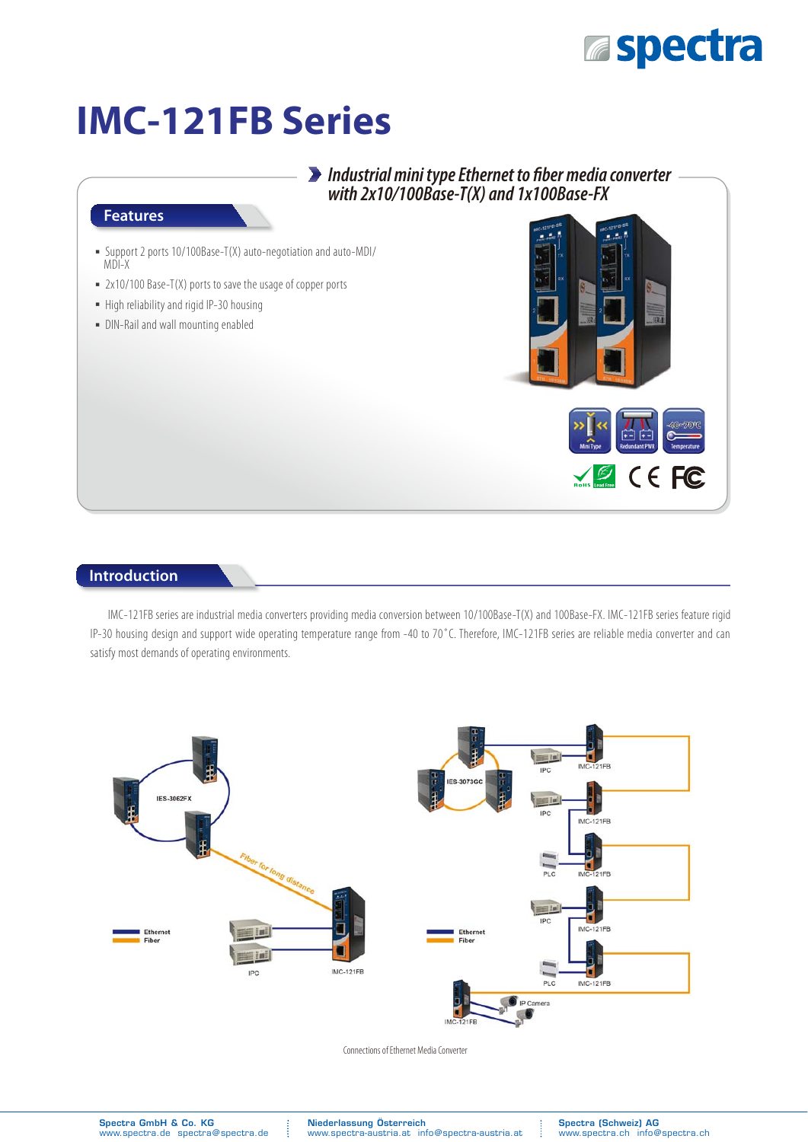### **Espectra**

# **IMC-121FB Series**

### *Industrial mini type Ethernet to fiber media converter with 2x10/100Base-T(X) and 1x100Base-FX*

#### **Features**

- ͑ؼ͑Support 2 ports 10/100Base-T(X) auto-negotiation and auto-MDI/ MDI-X
- 2x10/100 Base-T(X) ports to save the usage of copper ports
- $\blacksquare$  High reliability and rigid IP-30 housing
- DIN-Rail and wall mounting enabled



#### **Introduction**

IMC-121FB series are industrial media converters providing media conversion between 10/100Base-T(X) and 100Base-FX. IMC-121FB series feature rigid IP-30 housing design and support wide operating temperature range from -40 to 70˚C. Therefore, IMC-121FB series are reliable media converter and can satisfy most demands of operating environments.



Connections of Ethernet Media Converter

Niederlassung Österreich www.spectra-austria.at info@spectra-austria.at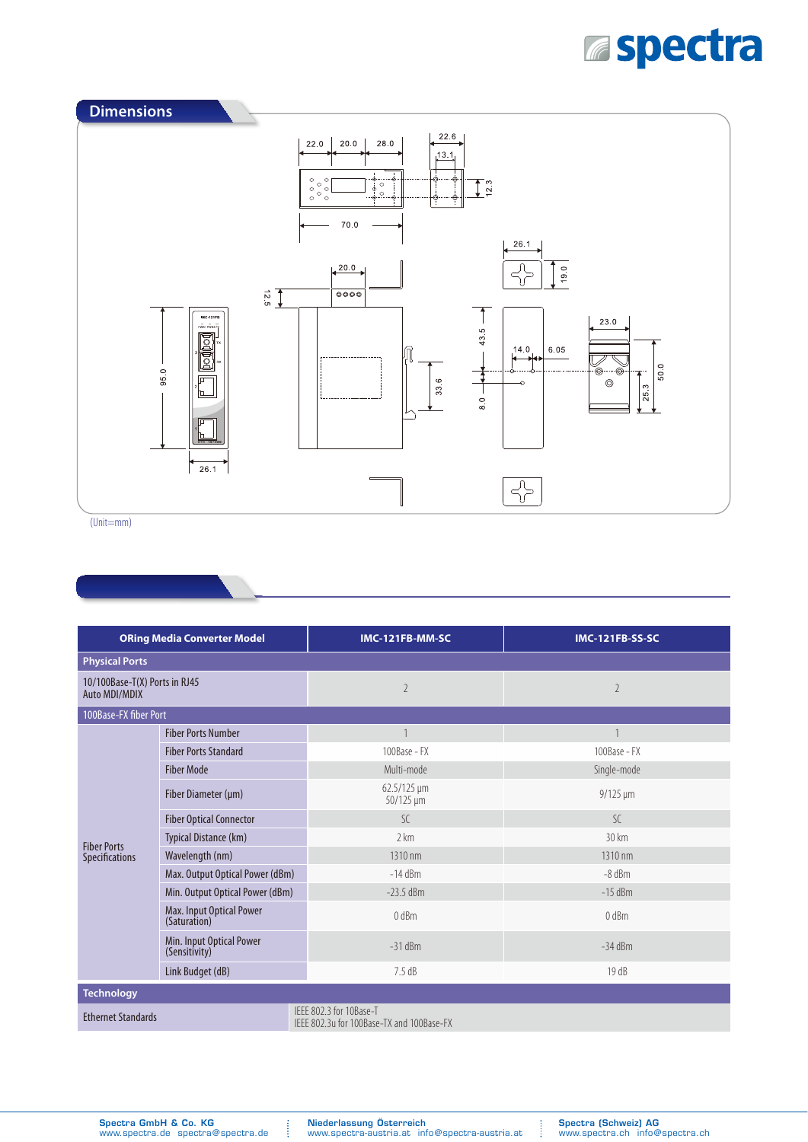# **Espectra**



(Unit=mm)

| <b>ORing Media Converter Model</b>             |                                           | IMC-121FB-MM-SC                                                      | <b>IMC-121FB-SS-SC</b> |  |  |
|------------------------------------------------|-------------------------------------------|----------------------------------------------------------------------|------------------------|--|--|
| <b>Physical Ports</b>                          |                                           |                                                                      |                        |  |  |
| 10/100Base-T(X) Ports in RJ45<br>Auto MDI/MDIX |                                           | $\overline{2}$                                                       | $\overline{2}$         |  |  |
| 100Base-FX fiber Port                          |                                           |                                                                      |                        |  |  |
| <b>Fiber Ports</b><br>Specifications           | <b>Fiber Ports Number</b>                 | $\mathbf{1}$                                                         |                        |  |  |
|                                                | <b>Fiber Ports Standard</b>               | 100Base - FX                                                         | 100Base - FX           |  |  |
|                                                | <b>Fiber Mode</b>                         | Multi-mode                                                           | Single-mode            |  |  |
|                                                | Fiber Diameter (µm)                       | $62.5/125 \,\mathrm{\upmu m}$<br>50/125 µm                           | $9/125 \mu m$          |  |  |
|                                                | <b>Fiber Optical Connector</b>            | $\mathcal{S}$ C                                                      | $\mathcal{S}$ C        |  |  |
|                                                | Typical Distance (km)                     | 2 km                                                                 | 30 km                  |  |  |
|                                                | Wavelength (nm)                           | 1310 nm                                                              | 1310 nm                |  |  |
|                                                | Max. Output Optical Power (dBm)           | $-14$ dBm                                                            | $-8$ dBm               |  |  |
|                                                | Min. Output Optical Power (dBm)           | $-23.5$ dBm                                                          | $-15$ dBm              |  |  |
|                                                | Max. Input Optical Power<br>(Saturation)  | 0 <sub>dBm</sub>                                                     | 0 dBm                  |  |  |
|                                                | Min. Input Optical Power<br>(Sensitivity) | $-31$ dBm                                                            | $-34$ dBm              |  |  |
|                                                | Link Budget (dB)                          | 7.5dB                                                                | 19 dB                  |  |  |
| <b>Technology</b>                              |                                           |                                                                      |                        |  |  |
| <b>Ethernet Standards</b>                      |                                           | IEEE 802.3 for 10Base-T<br>IEEE 802.3u for 100Base-TX and 100Base-FX |                        |  |  |